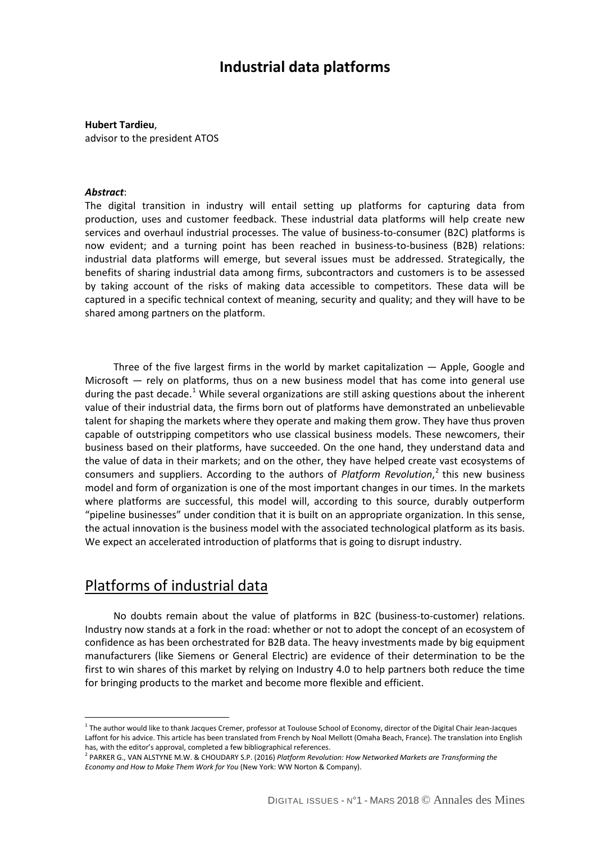# **Industrial data platforms**

### **Hubert Tardieu**,

advisor to the president ATOS

### *Abstract*:

The digital transition in industry will entail setting up platforms for capturing data from production, uses and customer feedback. These industrial data platforms will help create new services and overhaul industrial processes. The value of business-to-consumer (B2C) platforms is now evident; and a turning point has been reached in business-to-business (B2B) relations: industrial data platforms will emerge, but several issues must be addressed. Strategically, the benefits of sharing industrial data among firms, subcontractors and customers is to be assessed by taking account of the risks of making data accessible to competitors. These data will be captured in a specific technical context of meaning, security and quality; and they will have to be shared among partners on the platform.

Three of the five largest firms in the world by market capitalization  $-$  Apple, Google and Microsoft — rely on platforms, thus on a new business model that has come into general use during the past decade.<sup>[1](#page-0-0)</sup> While several organizations are still asking questions about the inherent value of their industrial data, the firms born out of platforms have demonstrated an unbelievable talent for shaping the markets where they operate and making them grow. They have thus proven capable of outstripping competitors who use classical business models. These newcomers, their business based on their platforms, have succeeded. On the one hand, they understand data and the value of data in their markets; and on the other, they have helped create vast ecosystems of consumers and suppliers. According to the authors of *Platform Revolution*, [2](#page-0-1) this new business model and form of organization is one of the most important changes in our times. In the markets where platforms are successful, this model will, according to this source, durably outperform "pipeline businesses" under condition that it is built on an appropriate organization. In this sense, the actual innovation is the business model with the associated technological platform as its basis. We expect an accelerated introduction of platforms that is going to disrupt industry.

### Platforms of industrial data

 $\overline{a}$ 

No doubts remain about the value of platforms in B2C (business-to-customer) relations. Industry now stands at a fork in the road: whether or not to adopt the concept of an ecosystem of confidence as has been orchestrated for B2B data. The heavy investments made by big equipment manufacturers (like Siemens or General Electric) are evidence of their determination to be the first to win shares of this market by relying on Industry 4.0 to help partners both reduce the time for bringing products to the market and become more flexible and efficient.

<span id="page-0-0"></span><sup>&</sup>lt;sup>1</sup> The author would like to thank Jacques Cremer, professor at Toulouse School of Economy, director of the Digital Chair Jean-Jacques Laffont for his advice. This article has been translated from French by Noal Mellott (Omaha Beach, France). The translation into English has, with the editor's approval, completed a few bibliographical references.

<span id="page-0-1"></span><sup>2</sup> PARKER G., VAN ALSTYNE M.W. & CHOUDARY S.P. (2016) *Platform Revolution: How Networked Markets are Transforming the Economy and How to Make Them Work for You* (New York: WW Norton & Company).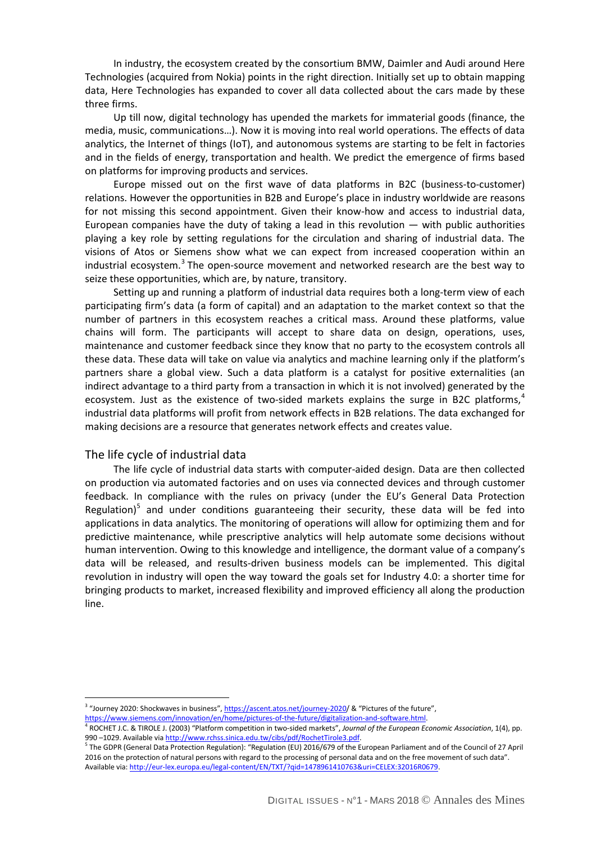In industry, the ecosystem created by the consortium BMW, Daimler and Audi around Here Technologies (acquired from Nokia) points in the right direction. Initially set up to obtain mapping data, Here Technologies has expanded to cover all data collected about the cars made by these three firms.

Up till now, digital technology has upended the markets for immaterial goods (finance, the media, music, communications…). Now it is moving into real world operations. The effects of data analytics, the Internet of things (IoT), and autonomous systems are starting to be felt in factories and in the fields of energy, transportation and health. We predict the emergence of firms based on platforms for improving products and services.

Europe missed out on the first wave of data platforms in B2C (business-to-customer) relations. However the opportunities in B2B and Europe's place in industry worldwide are reasons for not missing this second appointment. Given their know-how and access to industrial data, European companies have the duty of taking a lead in this revolution  $-$  with public authorities playing a key role by setting regulations for the circulation and sharing of industrial data. The visions of Atos or Siemens show what we can expect from increased cooperation within an industrial ecosystem.<sup>[3](#page-1-0)</sup> The open-source movement and networked research are the best way to seize these opportunities, which are, by nature, transitory.

Setting up and running a platform of industrial data requires both a long-term view of each participating firm's data (a form of capital) and an adaptation to the market context so that the number of partners in this ecosystem reaches a critical mass. Around these platforms, value chains will form. The participants will accept to share data on design, operations, uses, maintenance and customer feedback since they know that no party to the ecosystem controls all these data. These data will take on value via analytics and machine learning only if the platform's partners share a global view. Such a data platform is a catalyst for positive externalities (an indirect advantage to a third party from a transaction in which it is not involved) generated by the ecosystem. Just as the existence of two-sided markets explains the surge in B2C platforms, $4$ industrial data platforms will profit from network effects in B2B relations. The data exchanged for making decisions are a resource that generates network effects and creates value.

### The life cycle of industrial data

 $\overline{a}$ 

The life cycle of industrial data starts with computer-aided design. Data are then collected on production via automated factories and on uses via connected devices and through customer feedback. In compliance with the rules on privacy (under the EU's General Data Protection Regulation)<sup>[5](#page-1-2)</sup> and under conditions guaranteeing their security, these data will be fed into applications in data analytics. The monitoring of operations will allow for optimizing them and for predictive maintenance, while prescriptive analytics will help automate some decisions without human intervention. Owing to this knowledge and intelligence, the dormant value of a company's data will be released, and results-driven business models can be implemented. This digital revolution in industry will open the way toward the goals set for Industry 4.0: a shorter time for bringing products to market, increased flexibility and improved efficiency all along the production line.

<span id="page-1-0"></span><sup>&</sup>lt;sup>3</sup> "Journey 2020: Shockwaves in business"[, https://ascent.atos.net/journey-2020/](https://ascent.atos.net/journey-2020) & "Pictures of the future",<br>https://www.siemens.com/innovation/en/home/pictures-of-the-future/digitalization-and-software.html.

<span id="page-1-1"></span><sup>&</sup>lt;sup>4</sup> ROCHET J.C. & TIROLE J. (2003) "Platform competition in two-sided markets", Journal of the European Economic Association, 1(4), pp. 990 –1029. Available via http://www.rchss.sinica.edu.tw/cibs/pdf/RochetTirole3.pdf.<br><sup>5</sup> The GDPR (General Data Protection Regulation): "Regulation (EU) 2016/679 of the European Parliament and of the Council of 27 April

<span id="page-1-2"></span><sup>2016</sup> on the protection of natural persons with regard to the processing of personal data and on the free movement of such data". Available via[: http://eur-lex.europa.eu/legal-content/EN/TXT/?qid=1478961410763&uri=CELEX:32016R0679.](http://eur-lex.europa.eu/legal-content/EN/TXT/?qid=1478961410763&uri=CELEX:32016R0679)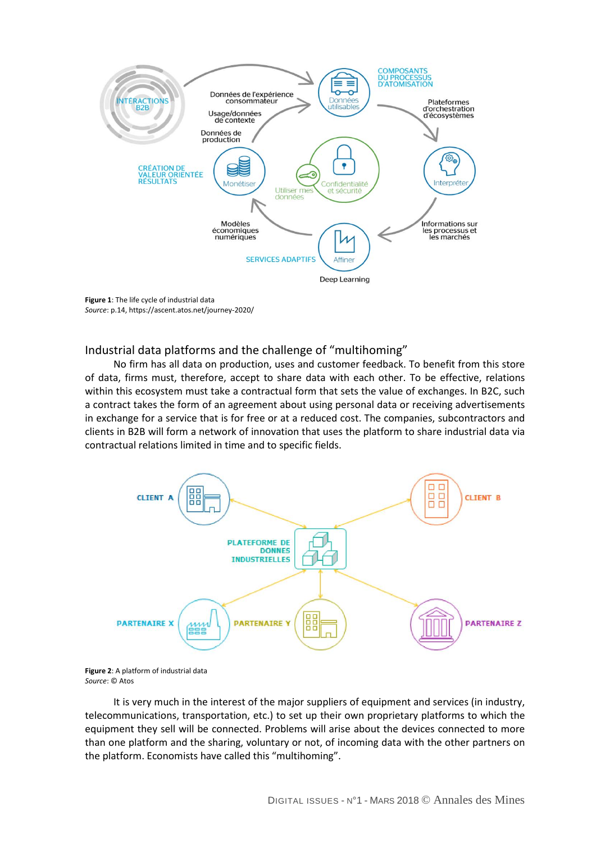

**Figure 1**: The life cycle of industrial data *Source*: p.14, https://ascent.atos.net/journey-2020/

Industrial data platforms and the challenge of "multihoming"

No firm has all data on production, uses and customer feedback. To benefit from this store of data, firms must, therefore, accept to share data with each other. To be effective, relations within this ecosystem must take a contractual form that sets the value of exchanges. In B2C, such a contract takes the form of an agreement about using personal data or receiving advertisements in exchange for a service that is for free or at a reduced cost. The companies, subcontractors and clients in B2B will form a network of innovation that uses the platform to share industrial data via contractual relations limited in time and to specific fields.



**Figure 2**: A platform of industrial data *Source*: © Atos

It is very much in the interest of the major suppliers of equipment and services (in industry, telecommunications, transportation, etc.) to set up their own proprietary platforms to which the equipment they sell will be connected. Problems will arise about the devices connected to more than one platform and the sharing, voluntary or not, of incoming data with the other partners on the platform. Economists have called this "multihoming".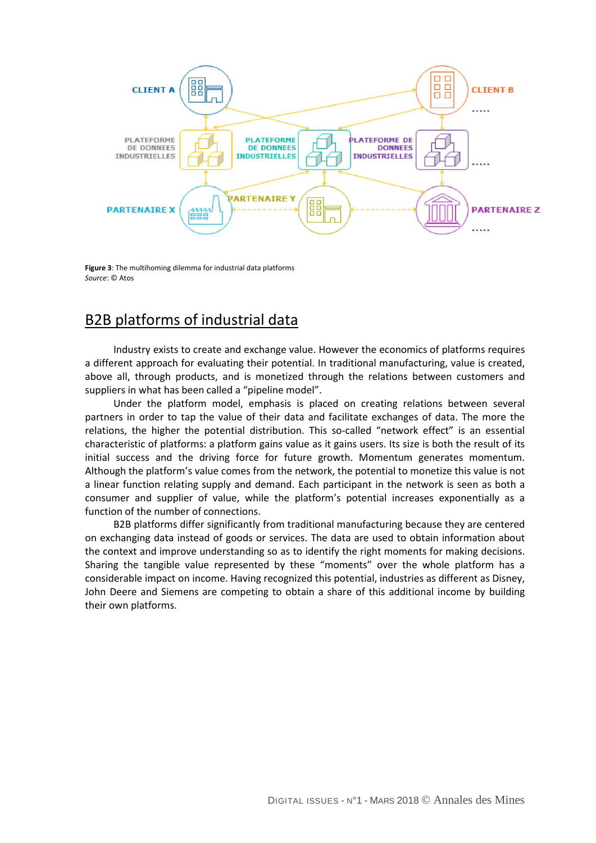

**Figure 3**: The multihoming dilemma for industrial data platforms *Source*: © Atos

# B2B platforms of industrial data

Industry exists to create and exchange value. However the economics of platforms requires a different approach for evaluating their potential. In traditional manufacturing, value is created, above all, through products, and is monetized through the relations between customers and suppliers in what has been called a "pipeline model".

Under the platform model, emphasis is placed on creating relations between several partners in order to tap the value of their data and facilitate exchanges of data. The more the relations, the higher the potential distribution. This so-called "network effect" is an essential characteristic of platforms: a platform gains value as it gains users. Its size is both the result of its initial success and the driving force for future growth. Momentum generates momentum. Although the platform's value comes from the network, the potential to monetize this value is not a linear function relating supply and demand. Each participant in the network is seen as both a consumer and supplier of value, while the platform's potential increases exponentially as a function of the number of connections.

B2B platforms differ significantly from traditional manufacturing because they are centered on exchanging data instead of goods or services. The data are used to obtain information about the context and improve understanding so as to identify the right moments for making decisions. Sharing the tangible value represented by these "moments" over the whole platform has a considerable impact on income. Having recognized this potential, industries as different as Disney, John Deere and Siemens are competing to obtain a share of this additional income by building their own platforms.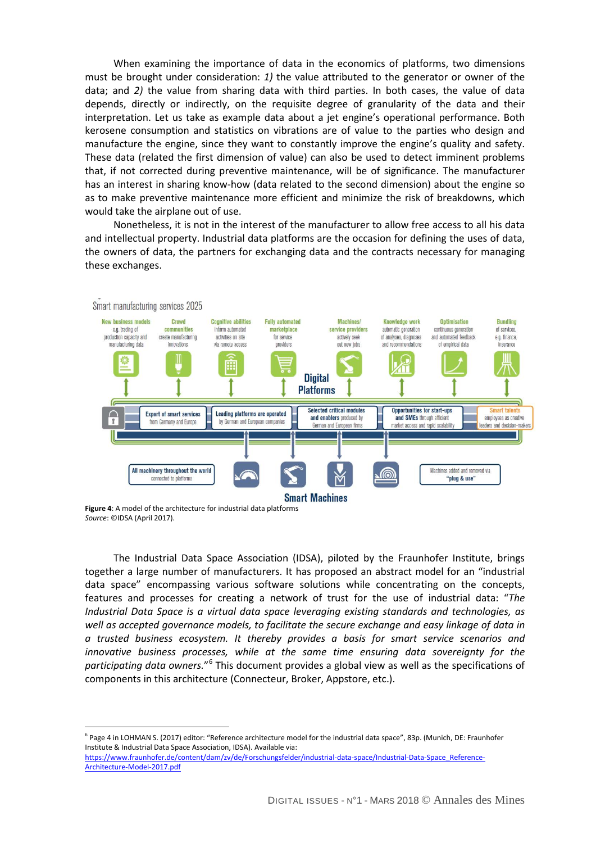When examining the importance of data in the economics of platforms, two dimensions must be brought under consideration: *1)* the value attributed to the generator or owner of the data; and *2)* the value from sharing data with third parties. In both cases, the value of data depends, directly or indirectly, on the requisite degree of granularity of the data and their interpretation. Let us take as example data about a jet engine's operational performance. Both kerosene consumption and statistics on vibrations are of value to the parties who design and manufacture the engine, since they want to constantly improve the engine's quality and safety. These data (related the first dimension of value) can also be used to detect imminent problems that, if not corrected during preventive maintenance, will be of significance. The manufacturer has an interest in sharing know-how (data related to the second dimension) about the engine so as to make preventive maintenance more efficient and minimize the risk of breakdowns, which would take the airplane out of use.

Nonetheless, it is not in the interest of the manufacturer to allow free access to all his data and intellectual property. Industrial data platforms are the occasion for defining the uses of data, the owners of data, the partners for exchanging data and the contracts necessary for managing these exchanges.



Smart manufacturing services 2025

 $\overline{a}$ 

**Figure 4**: A model of the architecture for industrial data platforms *Source*: ©IDSA (April 2017).

The Industrial Data Space Association (IDSA), piloted by the Fraunhofer Institute, brings together a large number of manufacturers. It has proposed an abstract model for an "industrial data space" encompassing various software solutions while concentrating on the concepts, features and processes for creating a network of trust for the use of industrial data: "*The Industrial Data Space is a virtual data space leveraging existing standards and technologies, as well as accepted governance models, to facilitate the secure exchange and easy linkage of data in a trusted business ecosystem. It thereby provides a basis for smart service scenarios and innovative business processes, while at the same time ensuring data sovereignty for the participating data owners.*"[6](#page-4-0) This document provides a global view as well as the specifications of components in this architecture (Connecteur, Broker, Appstore, etc.).

<span id="page-4-0"></span><sup>&</sup>lt;sup>6</sup> Page 4 in LOHMAN S. (2017) editor: "Reference architecture model for the industrial data space", 83p. (Munich, DE: Fraunhofer Institute & Industrial Data Space Association, IDSA). Available via:

[https://www.fraunhofer.de/content/dam/zv/de/Forschungsfelder/industrial-data-space/Industrial-Data-Space\\_Reference-](https://www.fraunhofer.de/content/dam/zv/de/Forschungsfelder/industrial-data-space/Industrial-Data-Space_Reference-Architecture-Model-2017.pdf)[Architecture-Model-2017.pdf](https://www.fraunhofer.de/content/dam/zv/de/Forschungsfelder/industrial-data-space/Industrial-Data-Space_Reference-Architecture-Model-2017.pdf)